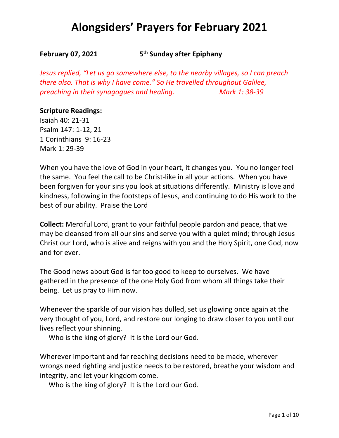**February 07, 2021 5th Sunday after Epiphany**

*Jesus replied, "Let us go somewhere else, to the nearby villages, so I can preach there also. That is why I have come." So He travelled throughout Galilee, preaching in their synagogues and healing. Mark 1: 38-39*

### **Scripture Readings:**

Isaiah 40: 21-31 Psalm 147: 1-12, 21 1 Corinthians 9: 16-23 Mark 1: 29-39

When you have the love of God in your heart, it changes you. You no longer feel the same. You feel the call to be Christ-like in all your actions. When you have been forgiven for your sins you look at situations differently. Ministry is love and kindness, following in the footsteps of Jesus, and continuing to do His work to the best of our ability. Praise the Lord

**Collect:** Merciful Lord, grant to your faithful people pardon and peace, that we may be cleansed from all our sins and serve you with a quiet mind; through Jesus Christ our Lord, who is alive and reigns with you and the Holy Spirit, one God, now and for ever.

The Good news about God is far too good to keep to ourselves. We have gathered in the presence of the one Holy God from whom all things take their being. Let us pray to Him now.

Whenever the sparkle of our vision has dulled, set us glowing once again at the very thought of you, Lord, and restore our longing to draw closer to you until our lives reflect your shinning.

Who is the king of glory? It is the Lord our God.

Wherever important and far reaching decisions need to be made, wherever wrongs need righting and justice needs to be restored, breathe your wisdom and integrity, and let your kingdom come.

Who is the king of glory? It is the Lord our God.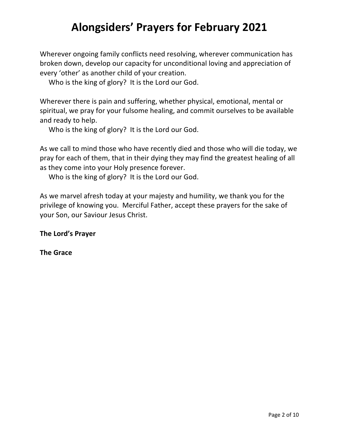Wherever ongoing family conflicts need resolving, wherever communication has broken down, develop our capacity for unconditional loving and appreciation of every 'other' as another child of your creation.

Who is the king of glory? It is the Lord our God.

Wherever there is pain and suffering, whether physical, emotional, mental or spiritual, we pray for your fulsome healing, and commit ourselves to be available and ready to help.

Who is the king of glory? It is the Lord our God.

As we call to mind those who have recently died and those who will die today, we pray for each of them, that in their dying they may find the greatest healing of all as they come into your Holy presence forever.

Who is the king of glory? It is the Lord our God.

As we marvel afresh today at your majesty and humility, we thank you for the privilege of knowing you. Merciful Father, accept these prayers for the sake of your Son, our Saviour Jesus Christ.

**The Lord's Prayer**

**The Grace**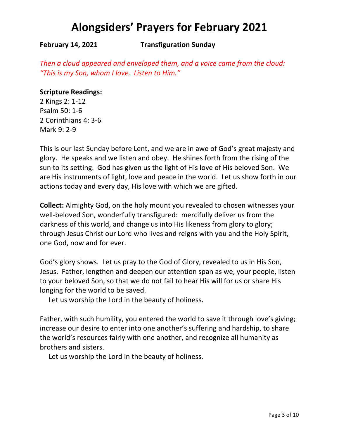**February 14, 2021 Transfiguration Sunday**

*Then a cloud appeared and enveloped them, and a voice came from the cloud: "This is my Son, whom I love. Listen to Him."*

### **Scripture Readings:**

2 Kings 2: 1-12 Psalm 50: 1-6 2 Corinthians 4: 3-6 Mark 9: 2-9

This is our last Sunday before Lent, and we are in awe of God's great majesty and glory. He speaks and we listen and obey. He shines forth from the rising of the sun to its setting. God has given us the light of His love of His beloved Son. We are His instruments of light, love and peace in the world. Let us show forth in our actions today and every day, His love with which we are gifted.

**Collect:** Almighty God, on the holy mount you revealed to chosen witnesses your well-beloved Son, wonderfully transfigured: mercifully deliver us from the darkness of this world, and change us into His likeness from glory to glory; through Jesus Christ our Lord who lives and reigns with you and the Holy Spirit, one God, now and for ever.

God's glory shows. Let us pray to the God of Glory, revealed to us in His Son, Jesus. Father, lengthen and deepen our attention span as we, your people, listen to your beloved Son, so that we do not fail to hear His will for us or share His longing for the world to be saved.

Let us worship the Lord in the beauty of holiness.

Father, with such humility, you entered the world to save it through love's giving; increase our desire to enter into one another's suffering and hardship, to share the world's resources fairly with one another, and recognize all humanity as brothers and sisters.

Let us worship the Lord in the beauty of holiness.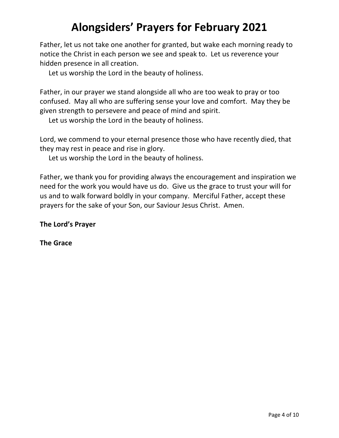Father, let us not take one another for granted, but wake each morning ready to notice the Christ in each person we see and speak to. Let us reverence your hidden presence in all creation.

Let us worship the Lord in the beauty of holiness.

Father, in our prayer we stand alongside all who are too weak to pray or too confused. May all who are suffering sense your love and comfort. May they be given strength to persevere and peace of mind and spirit.

Let us worship the Lord in the beauty of holiness.

Lord, we commend to your eternal presence those who have recently died, that they may rest in peace and rise in glory.

Let us worship the Lord in the beauty of holiness.

Father, we thank you for providing always the encouragement and inspiration we need for the work you would have us do. Give us the grace to trust your will for us and to walk forward boldly in your company. Merciful Father, accept these prayers for the sake of your Son, our Saviour Jesus Christ. Amen.

**The Lord's Prayer**

**The Grace**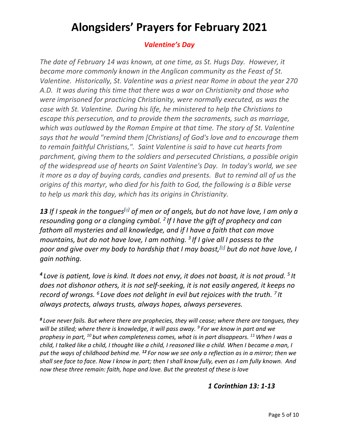## *Valentine's Day*

*The date of February 14 was known, at one time, as St. Hugs Day. However, it became more commonly known in the Anglican community as the Feast of St. Valentine. Historically, St. Valentine was a priest near Rome in about the year 270 A.D. It was during this time that there was a war on Christianity and those who were imprisoned for practicing Christianity, were normally executed, as was the case with St. Valentine. During his life, he ministered to help the Christians to escape this persecution, and to provide them the sacraments, such as marriage, which was outlawed by the Roman Empire at that time. The story of St. Valentine says that he would "remind them [Christians] of God's love and to encourage them to remain faithful Christians,". Saint Valentine is said to have cut hearts from parchment, giving them to the soldiers and persecuted Christians, a possible origin of the widespread use of hearts on Saint Valentine's Day. In today's world, we see it more as a day of buying cards, candies and presents. But to remind all of us the origins of this martyr, who died for his faith to God, the following is a Bible verse to help us mark this day, which has its origins in Christianity.*

**13** If I speak in the tongues<sup>[a]</sup> of men or of angels, but do not have love, I am only a *resounding gong or a clanging cymbal. <sup>2</sup> If I have the gift of prophecy and can fathom all mysteries and all knowledge, and if I have a faith that can move mountains, but do not have love, I am nothing. <sup>3</sup> If I give all I possess to the poor and give over my body to hardship that I may boast, [b] but do not have love, I gain nothing.*

*<sup>4</sup> Love is patient, love is kind. It does not envy, it does not boast, it is not proud. <sup>5</sup> It does not dishonor others, it is not self-seeking, it is not easily angered, it keeps no record of wrongs. <sup>6</sup> Love does not delight in evil but rejoices with the truth. <sup>7</sup> It always protects, always trusts, always hopes, always perseveres.*

*<sup>8</sup> Love never fails. But where there are prophecies, they will cease; where there are tongues, they will be stilled; where there is knowledge, it will pass away. <sup>9</sup> For we know in part and we prophesy in part, <sup>10</sup> but when completeness comes, what is in part disappears. <sup>11</sup> When I was a child, I talked like a child, I thought like a child, I reasoned like a child. When I became a man, I put the ways of childhood behind me. <sup>12</sup> For now we see only a reflection as in a mirror; then we shall see face to face. Now I know in part; then I shall know fully, even as I am fully known. And now these three remain: faith, hope and love. But the greatest of these is love*

## *1 Corinthian 13: 1-13*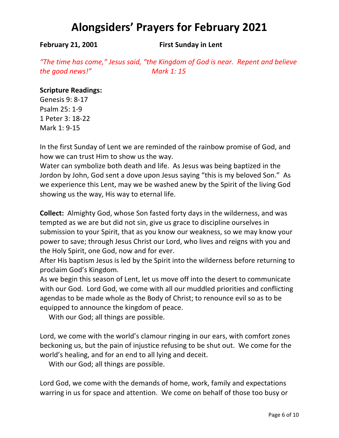**February 21, 2001 First Sunday in Lent**

*"The time has come," Jesus said, "the Kingdom of God is near. Repent and believe the good news!" Mark 1: 15*

### **Scripture Readings:**

Genesis 9: 8-17 Psalm 25: 1-9 1 Peter 3: 18-22 Mark 1: 9-15

In the first Sunday of Lent we are reminded of the rainbow promise of God, and how we can trust Him to show us the way.

Water can symbolize both death and life. As Jesus was being baptized in the Jordon by John, God sent a dove upon Jesus saying "this is my beloved Son." As we experience this Lent, may we be washed anew by the Spirit of the living God showing us the way, His way to eternal life.

**Collect:** Almighty God, whose Son fasted forty days in the wilderness, and was tempted as we are but did not sin, give us grace to discipline ourselves in submission to your Spirit, that as you know our weakness, so we may know your power to save; through Jesus Christ our Lord, who lives and reigns with you and the Holy Spirit, one God, now and for ever.

After His baptism Jesus is led by the Spirit into the wilderness before returning to proclaim God's Kingdom.

As we begin this season of Lent, let us move off into the desert to communicate with our God. Lord God, we come with all our muddled priorities and conflicting agendas to be made whole as the Body of Christ; to renounce evil so as to be equipped to announce the kingdom of peace.

With our God; all things are possible.

Lord, we come with the world's clamour ringing in our ears, with comfort zones beckoning us, but the pain of injustice refusing to be shut out. We come for the world's healing, and for an end to all lying and deceit.

With our God; all things are possible.

Lord God, we come with the demands of home, work, family and expectations warring in us for space and attention. We come on behalf of those too busy or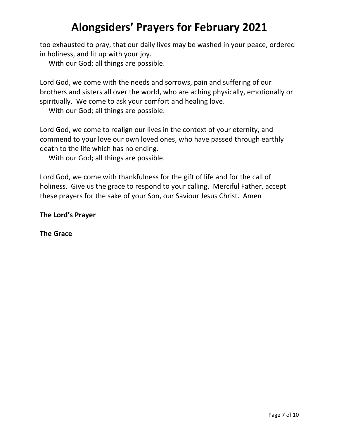too exhausted to pray, that our daily lives may be washed in your peace, ordered in holiness, and lit up with your joy.

With our God; all things are possible.

Lord God, we come with the needs and sorrows, pain and suffering of our brothers and sisters all over the world, who are aching physically, emotionally or spiritually. We come to ask your comfort and healing love.

With our God; all things are possible.

Lord God, we come to realign our lives in the context of your eternity, and commend to your love our own loved ones, who have passed through earthly death to the life which has no ending.

With our God; all things are possible.

Lord God, we come with thankfulness for the gift of life and for the call of holiness. Give us the grace to respond to your calling. Merciful Father, accept these prayers for the sake of your Son, our Saviour Jesus Christ. Amen

**The Lord's Prayer**

**The Grace**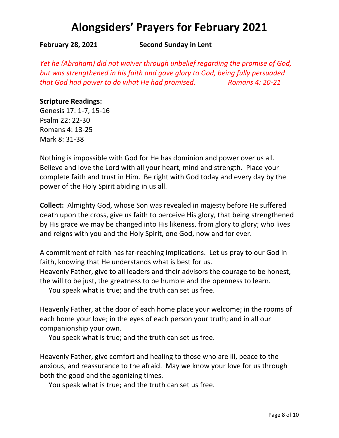**February 28, 2021 Second Sunday in Lent**

*Yet he (Abraham) did not waiver through unbelief regarding the promise of God, but was strengthened in his faith and gave glory to God, being fully persuaded that God had power to do what He had promised. Romans 4: 20-21*

### **Scripture Readings:**

Genesis 17: 1-7, 15-16 Psalm 22: 22-30 Romans 4: 13-25 Mark 8: 31-38

Nothing is impossible with God for He has dominion and power over us all. Believe and love the Lord with all your heart, mind and strength. Place your complete faith and trust in Him. Be right with God today and every day by the power of the Holy Spirit abiding in us all.

**Collect:** Almighty God, whose Son was revealed in majesty before He suffered death upon the cross, give us faith to perceive His glory, that being strengthened by His grace we may be changed into His likeness, from glory to glory; who lives and reigns with you and the Holy Spirit, one God, now and for ever.

A commitment of faith has far-reaching implications. Let us pray to our God in faith, knowing that He understands what is best for us.

Heavenly Father, give to all leaders and their advisors the courage to be honest, the will to be just, the greatness to be humble and the openness to learn.

You speak what is true; and the truth can set us free.

Heavenly Father, at the door of each home place your welcome; in the rooms of each home your love; in the eyes of each person your truth; and in all our companionship your own.

You speak what is true; and the truth can set us free.

Heavenly Father, give comfort and healing to those who are ill, peace to the anxious, and reassurance to the afraid. May we know your love for us through both the good and the agonizing times.

You speak what is true; and the truth can set us free.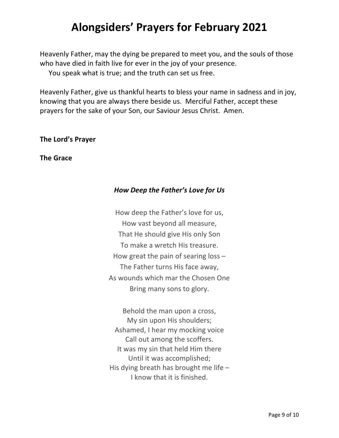Heavenly Father, may the dying be prepared to meet you, and the souls of those who have died in faith live for ever in the joy of your presence.

You speak what is true; and the truth can set us free.

Heavenly Father, give us thankful hearts to bless your name in sadness and in joy, knowing that you are always there beside us. Merciful Father, accept these prayers for the sake of your Son, our Saviour Jesus Christ. Amen.

### **The Lord's Prayer**

**The Grace**

## *How Deep the Father's Love for Us*

How deep the Father's love for us, How vast beyond all measure, That He should give His only Son To make a wretch His treasure. How great the pain of searing loss – The Father turns His face away, As wounds which mar the Chosen One Bring many sons to glory.

Behold the man upon a cross, My sin upon His shoulders; Ashamed, I hear my mocking voice Call out among the scoffers. It was my sin that held Him there Until it was accomplished; His dying breath has brought me life  $-$ I know that it is finished.